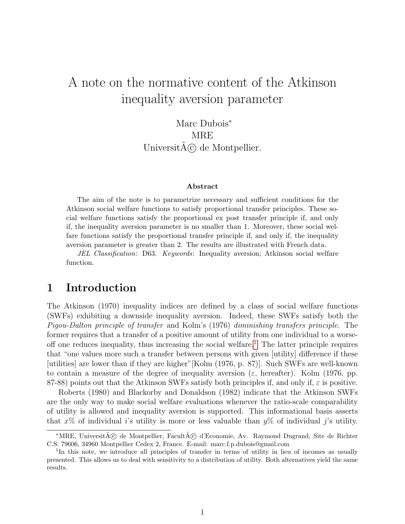# A note on the normative content of the Atkinson inequality aversion parameter

Marc Dubois<sup>\*</sup> **MRE** Universit $\tilde{A}(\tilde{c})$  de Montpellier.

#### Abstract

The aim of the note is to parametrize necessary and sufficient conditions for the Atkinson social welfare functions to satisfy proportional transfer principles. These social welfare functions satisfy the proportional ex post transfer principle if, and only if, the inequality aversion parameter is no smaller than 1. Moreover, these social welfare functions satisfy the proportional transfer principle if, and only if, the inequality aversion parameter is greater than 2. The results are illustrated with French data.

JEL Classification: D63. Keywords: Inequality aversion; Atkinson social welfare function.

# 1 Introduction

The Atkinson (1970) inequality indices are defined by a class of social welfare functions (SWFs) exhibiting a downside inequality aversion. Indeed, these SWFs satisfy both the Pigou-Dalton principle of transfer and Kolm's (1976) diminishing transfers principle. The former requires that a transfer of a positive amount of utility from one individual to a worse-off one reduces inequality, thus increasing the social welfare.<sup>[1](#page-0-0)</sup> The latter principle requires that "one values more such a transfer between persons with given [utility] difference if these [utilities] are lower than if they are higher"[Kolm (1976, p. 87)]. Such SWFs are well-known to contain a measure of the degree of inequality aversion ( $\varepsilon$ , hereafter). Kolm (1976, pp. 87-88) points out that the Atkinson SWFs satisfy both principles if, and only if,  $\varepsilon$  is positive.

Roberts (1980) and Blackorby and Donaldson (1982) indicate that the Atkinson SWFs are the only way to make social welfare evaluations whenever the ratio-scale comparability of utility is allowed and inequality aversion is supported. This informational basis asserts that  $x\%$  of individual i's utility is more or less valuable than  $y\%$  of individual j's utility.

<sup>\*</sup>MRE, Universit $\tilde{A}(\tilde{c})$  de Montpellier, Facult $\tilde{A}(\tilde{c})$  d'Economie, Av. Raymond Dugrand, Site de Richter C.S. 79606, 34960 Montpellier Cedex 2, France. E-mail: marc.f.p.dubois@gmail.com

<span id="page-0-0"></span><sup>&</sup>lt;sup>1</sup>In this note, we introduce all principles of transfer in terms of utility in lieu of incomes as usually presented. This allows us to deal with sensitivity to a distribution of utility. Both alternatives yield the same results.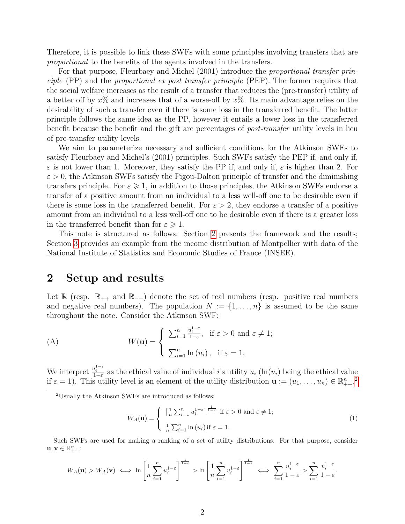Therefore, it is possible to link these SWFs with some principles involving transfers that are proportional to the benefits of the agents involved in the transfers.

For that purpose, Fleurbaey and Michel (2001) introduce the proportional transfer principle (PP) and the proportional ex post transfer principle (PEP). The former requires that the social welfare increases as the result of a transfer that reduces the (pre-transfer) utility of a better off by  $x\%$  and increases that of a worse-off by  $x\%$ . Its main advantage relies on the desirability of such a transfer even if there is some loss in the transferred benefit. The latter principle follows the same idea as the PP, however it entails a lower loss in the transferred benefit because the benefit and the gift are percentages of post-transfer utility levels in lieu of pre-transfer utility levels.

We aim to parameterize necessary and sufficient conditions for the Atkinson SWFs to satisfy Fleurbaey and Michel's (2001) principles. Such SWFs satisfy the PEP if, and only if,  $\varepsilon$  is not lower than 1. Moreover, they satisfy the PP if, and only if,  $\varepsilon$  is higher than 2. For  $\varepsilon > 0$ , the Atkinson SWFs satisfy the Pigou-Dalton principle of transfer and the diminishing transfers principle. For  $\varepsilon \geqslant 1$ , in addition to those principles, the Atkinson SWFs endorse a transfer of a positive amount from an individual to a less well-off one to be desirable even if there is some loss in the transferred benefit. For  $\varepsilon > 2$ , they endorse a transfer of a positive amount from an individual to a less well-off one to be desirable even if there is a greater loss in the transferred benefit than for  $\varepsilon \geqslant 1$ .

This note is structured as follows: Section [2](#page-1-0) presents the framework and the results; Section [3](#page-3-0) provides an example from the income distribution of Montpellier with data of the National Institute of Statistics and Economic Studies of France (INSEE).

#### <span id="page-1-0"></span>2 Setup and results

Let  $\mathbb R$  (resp.  $\mathbb R_{++}$  and  $\mathbb R_{--}$ ) denote the set of real numbers (resp. positive real numbers and negative real numbers). The population  $N := \{1, \ldots, n\}$  is assumed to be the same throughout the note. Consider the Atkinson SWF:

<span id="page-1-2"></span>(A) 
$$
W(\mathbf{u}) = \begin{cases} \sum_{i=1}^{n} \frac{u_i^{1-\varepsilon}}{1-\varepsilon}, & \text{if } \varepsilon > 0 \text{ and } \varepsilon \neq 1; \\ \sum_{i=1}^{n} \ln(u_i), & \text{if } \varepsilon = 1. \end{cases}
$$

We interpret  $\frac{u_i^{1-\varepsilon}}{1-\varepsilon}$  as the ethical value of individual *i*'s utility  $u_i$  (ln( $u_i$ ) being the ethical value if  $\varepsilon = 1$ ). This utility level is an element of the utility distribution  $\mathbf{u} := (u_1, \dots, u_n) \in \mathbb{R}_{++}^n$ .

<span id="page-1-1"></span><sup>2</sup>Usually the Atkinson SWFs are introduced as follows:

$$
W_A(\mathbf{u}) = \begin{cases} \left[\frac{1}{n}\sum_{i=1}^n u_i^{1-\varepsilon}\right]^{\frac{1}{1-\varepsilon}} & \text{if } \varepsilon > 0 \text{ and } \varepsilon \neq 1; \\ \frac{1}{n}\sum_{i=1}^n \ln(u_i) & \text{if } \varepsilon = 1. \end{cases}
$$
 (1)

Such SWFs are used for making a ranking of a set of utility distributions. For that purpose, consider  $\mathbf{u}, \mathbf{v} \in \mathbb{R}_{++}^n$ :

$$
W_A(\mathbf{u}) > W_A(\mathbf{v}) \iff \ln\left[\frac{1}{n}\sum_{i=1}^n u_i^{1-\varepsilon}\right]^{\frac{1}{1-\varepsilon}} > \ln\left[\frac{1}{n}\sum_{i=1}^n v_i^{1-\varepsilon}\right]^{\frac{1}{1-\varepsilon}} \iff \sum_{i=1}^n \frac{u_i^{1-\varepsilon}}{1-\varepsilon} > \sum_{i=1}^n \frac{v_i^{1-\varepsilon}}{1-\varepsilon}.
$$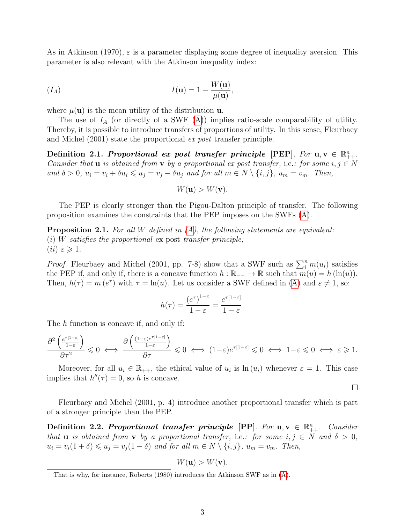As in Atkinson (1970),  $\varepsilon$  is a parameter displaying some degree of inequality aversion. This parameter is also relevant with the Atkinson inequality index:

<span id="page-2-2"></span>
$$
(I_A) \tI(\mathbf{u}) = 1 - \frac{W(\mathbf{u})}{\mu(\mathbf{u})},
$$

where  $\mu(\mathbf{u})$  is the mean utility of the distribution **u**.

The use of  $I_A$  (or directly of a SWF  $(A)$ ) implies ratio-scale comparability of utility. Thereby, it is possible to introduce transfers of proportions of utility. In this sense, Fleurbaey and Michel (2001) state the proportional ex post transfer principle.

<span id="page-2-0"></span>Definition 2.1. Proportional ex post transfer principle [PEP]. For  $u, v \in \mathbb{R}_{++}^n$ . Consider that **u** is obtained from **v** by a proportional ex post transfer, i.e.: for some  $i, j \in N$ and  $\delta > 0$ ,  $u_i = v_i + \delta u_i \leqslant u_j = v_j - \delta u_j$  and for all  $m \in N \setminus \{i, j\}$ ,  $u_m = v_m$ . Then,

$$
W(\mathbf{u}) > W(\mathbf{v}).
$$

The PEP is clearly stronger than the Pigou-Dalton principle of transfer. The following proposition examines the constraints that the PEP imposes on the SWFs [\(A\)](#page-1-2).

**Proposition 2.1.** For all W defined in  $(A)$ , the following statements are equivalent:  $(i)$  W satisfies the proportional ex post transfer principle; (*ii*)  $\varepsilon \geqslant 1$ .

*Proof.* Fleurbaey and Michel (2001, pp. 7-8) show that a SWF such as  $\sum_{i=1}^{n} m(u_i)$  satisfies the PEP if, and only if, there is a concave function  $h : \mathbb{R}_{-} \to \mathbb{R}$  such that  $m(u) = h(\ln(u))$ . Then,  $h(\tau) = m(e^{\tau})$  with  $\tau = \ln(u)$ . Let us consider a SWF defined in [\(A\)](#page-1-2) and  $\varepsilon \neq 1$ , so:

$$
h(\tau) = \frac{(e^{\tau})^{1-\varepsilon}}{1-\varepsilon} = \frac{e^{\tau[1-\varepsilon]}}{1-\varepsilon}.
$$

The h function is concave if, and only if:

$$
\frac{\partial^2 \left( \frac{e^{\tau[1-\varepsilon]}}{1-\varepsilon} \right)}{\partial \tau^2} \leqslant 0 \iff \frac{\partial \left( \frac{(1-\varepsilon)e^{\tau[1-\varepsilon]}}{1-\varepsilon} \right)}{\partial \tau} \leqslant 0 \iff (1-\varepsilon)e^{\tau[1-\varepsilon]} \leqslant 0 \iff 1-\varepsilon \leqslant 0 \iff \varepsilon \geqslant 1.
$$

Moreover, for all  $u_i \in \mathbb{R}_{++}$ , the ethical value of  $u_i$  is  $\ln(u_i)$  whenever  $\varepsilon = 1$ . This case implies that  $h''(\tau) = 0$ , so h is concave.

 $\Box$ 

Fleurbaey and Michel (2001, p. 4) introduce another proportional transfer which is part of a stronger principle than the PEP.

<span id="page-2-1"></span>Definition 2.2. Proportional transfer principle [PP]. For  $u, v \in \mathbb{R}_{++}^n$ . Consider that **u** is obtained from **v** by a proportional transfer, i.e.: for some  $i, j \in N$  and  $\delta > 0$ ,  $u_i = v_i(1+\delta) \leq u_j = v_j(1-\delta)$  and for all  $m \in N \setminus \{i, j\}$ ,  $u_m = v_m$ . Then,

 $W(\mathbf{u}) > W(\mathbf{v}).$ 

That is why, for instance, Roberts (1980) introduces the Atkinson SWF as in [\(A\)](#page-1-2).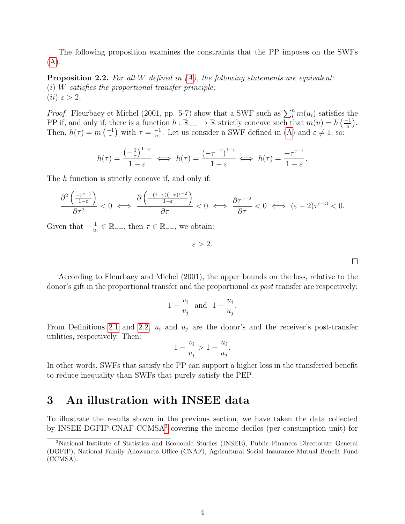The following proposition examines the constraints that the PP imposes on the SWFs [\(A\)](#page-1-2).

**Proposition 2.2.** For all W defined in  $(A)$ , the following statements are equivalent:  $(i)$  W satisfies the proportional transfer principle; (*ii*)  $\varepsilon > 2$ .

*Proof.* Fleurbaey et Michel (2001, pp. 5-7) show that a SWF such as  $\sum_{i=1}^{n} m(u_i)$  satisfies the PP if, and only if, there is a function  $h : \mathbb{R}_{-} \to \mathbb{R}$  strictly concave such that  $m(u) = h\left(\frac{-1}{u}\right)$  $\frac{-1}{u}$ ). Then,  $h(\tau) = m\left(\frac{-1}{\tau}\right)$  $\frac{-1}{\tau}$ ) with  $\tau = \frac{-1}{u_i}$  $\frac{-1}{u_i}$ . Let us consider a SWF defined in [\(A\)](#page-1-2) and  $\varepsilon \neq 1$ , so:

$$
h(\tau) = \frac{\left(-\frac{1}{\tau}\right)^{1-\varepsilon}}{1-\varepsilon} \iff h(\tau) = \frac{\left(-\tau^{-1}\right)^{1-\varepsilon}}{1-\varepsilon} \iff h(\tau) = \frac{-\tau^{\varepsilon-1}}{1-\varepsilon}.
$$

The h function is strictly concave if, and only if:

$$
\frac{\partial^2\left(\frac{-\tau^{\varepsilon-1}}{1-\varepsilon}\right)}{\partial\tau^2}<0\ \Longleftrightarrow\ \frac{\partial\left(\frac{-(1-\varepsilon)(-\tau)^{\varepsilon-2}}{1-\varepsilon}\right)}{\partial\tau}<0\ \Longleftrightarrow\ \frac{\partial\tau^{\varepsilon-2}}{\partial\tau}<0\ \Longleftrightarrow\ (\varepsilon-2)\tau^{\varepsilon-3}<0.
$$

Given that  $-\frac{1}{u}$  $\frac{1}{u_i} \in \mathbb{R}_{--}$ , then  $\tau \in \mathbb{R}_{--}$ , we obtain:

 $\varepsilon > 2$ .

According to Fleurbaey and Michel (2001), the upper bounds on the loss, relative to the donor's gift in the proportional transfer and the proportional ex post transfer are respectively:

$$
1 - \frac{v_i}{v_j} \quad \text{and} \quad 1 - \frac{u_i}{u_j}.
$$

From Definitions [2.1](#page-2-0) and [2.2,](#page-2-1)  $u_i$  and  $u_j$  are the donor's and the receiver's post-transfer utilities, respectively. Then:

$$
1 - \frac{v_i}{v_j} > 1 - \frac{u_i}{u_j}.
$$

In other words, SWFs that satisfy the PP can support a higher loss in the transferred benefit to reduce inequality than SWFs that purely satisfy the PEP.

### <span id="page-3-0"></span>3 An illustration with INSEE data

To illustrate the results shown in the previous section, we have taken the data collected by INSEE-DGFIP-CNAF-CCMSA[3](#page-3-1) covering the income deciles (per consumption unit) for

<span id="page-3-1"></span><sup>3</sup>National Institute of Statistics and Economic Studies (INSEE), Public Finances Directorate General (DGFIP), National Family Allowances Office (CNAF), Agricultural Social Insurance Mutual Benefit Fund (CCMSA).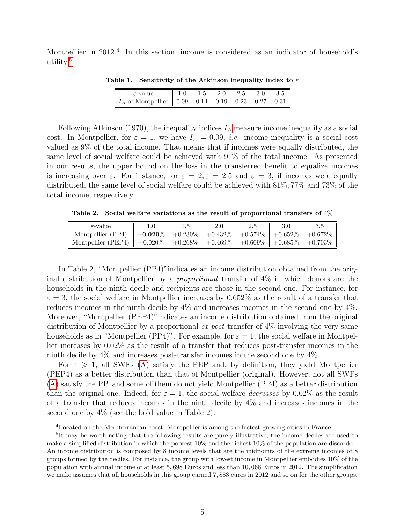Montpellier in 2012.<sup>[4](#page-4-0)</sup> In this section, income is considered as an indicator of household's utility.[5](#page-4-1)

| $\varepsilon$ -value                         | G. 1 | 2.0 | 2.5                 |      |  |
|----------------------------------------------|------|-----|---------------------|------|--|
| $\sigma_A$ of Montpellier $\vert 0.09 \vert$ | 0.14 |     | $0.19 \,   \, 0.23$ | 0.27 |  |

Table 1. Sensitivity of the Atkinson inequality index to  $\varepsilon$ 

Following Atkinson (1970), the inequality indices  $I_A$  $I_A$  measure income inequality as a social cost. In Montpellier, for  $\varepsilon = 1$ , we have  $I_A = 0.09$ , *i.e.* income inequality is a social cost valued as 9% of the total income. That means that if incomes were equally distributed, the same level of social welfare could be achieved with 91% of the total income. As presented in our results, the upper bound on the loss in the transferred benefit to equalize incomes is increasing over  $\varepsilon$ . For instance, for  $\varepsilon = 2, \varepsilon = 2.5$  and  $\varepsilon = 3$ , if incomes were equally distributed, the same level of social welfare could be achieved with 81%, 77% and 73% of the total income, respectively.

Table 2. Social welfare variations as the result of proportional transfers of 4%

| $\varepsilon$ -value |            |            |            |            |            |            |
|----------------------|------------|------------|------------|------------|------------|------------|
| Montpellier (PP4)    | $-0.020\%$ | $+0.230\%$ | $+0.432\%$ | $+0.574\%$ | $+0.652\%$ | $+0.672\%$ |
| Montpellier (PEP4)   | $+0.020\%$ | $+0.268\%$ | $+0.469\%$ | $+0.609\%$ | $+0.685\%$ | $+0.703\%$ |

In Table 2, "Montpellier (PP4)"indicates an income distribution obtained from the original distribution of Montpellier by a *proportional* transfer of  $4\%$  in which donors are the households in the ninth decile and recipients are those in the second one. For instance, for  $\varepsilon = 3$ , the social welfare in Montpellier increases by 0.652% as the result of a transfer that reduces incomes in the ninth decile by 4% and increases incomes in the second one by 4%. Moreover, "Montpellier (PEP4)"indicates an income distribution obtained from the original distribution of Montpellier by a proportional  $ex$  post transfer of 4% involving the very same households as in "Montpellier (PP4)". For example, for  $\varepsilon = 1$ , the social welfare in Montpellier increases by 0.02% as the result of a transfer that reduces post-transfer incomes in the ninth decile by 4% and increases post-transfer incomes in the second one by 4%.

For  $\varepsilon \geq 1$ , all SWFs [\(A\)](#page-1-2) satisfy the PEP and, by definition, they yield Montpellier (PEP4) as a better distribution than that of Montpellier (original). However, not all SWFs [\(A\)](#page-1-2) satisfy the PP, and some of them do not yield Montpellier (PP4) as a better distribution than the original one. Indeed, for  $\varepsilon = 1$ , the social welfare *decreases* by 0.02% as the result of a transfer that reduces incomes in the ninth decile by  $4\%$  and increases incomes in the second one by 4% (see the bold value in Table 2).

<span id="page-4-1"></span><span id="page-4-0"></span><sup>4</sup>Located on the Mediterranean coast, Montpellier is among the fastest growing cities in France.

<sup>&</sup>lt;sup>5</sup>It may be worth noting that the following results are purely illustrative; the income deciles are used to make a simplified distribution in which the poorest 10% and the richest 10% of the population are discarded. An income distribution is composed by 8 income levels that are the midpoints of the extreme incomes of 8 groups formed by the deciles. For instance, the group with lowest income in Montpellier embodies 10% of the population with annual income of at least 5, 698 Euros and less than 10, 068 Euros in 2012. The simplification we make assumes that all households in this group earned 7, 883 euros in 2012 and so on for the other groups.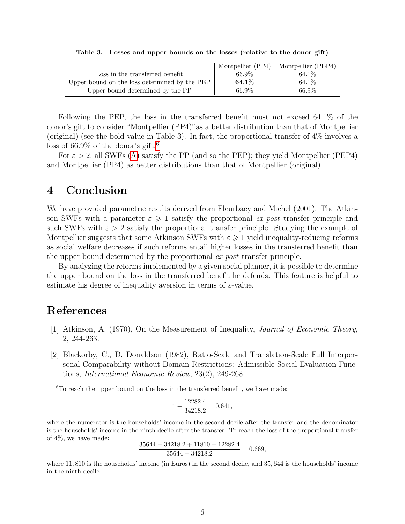|                                               | Montpellier (PP4) | Montpellier (PEP4) |
|-----------------------------------------------|-------------------|--------------------|
| Loss in the transferred benefit               | 66.9%             | 64.1\%             |
| Upper bound on the loss determined by the PEP | $64.1\%$          | 64.1\%             |
| Upper bound determined by the PP              | 66.9%             | 66.9%              |

Table 3. Losses and upper bounds on the losses (relative to the donor gift)

Following the PEP, the loss in the transferred benefit must not exceed 64.1% of the donor's gift to consider "Montpellier (PP4)"as a better distribution than that of Montpellier (original) (see the bold value in Table 3). In fact, the proportional transfer of 4% involves a loss of [6](#page-5-0)6.9% of the donor's gift.<sup>6</sup>

For  $\varepsilon > 2$ , all SWFs [\(A\)](#page-1-2) satisfy the PP (and so the PEP); they yield Montpellier (PEP4) and Montpellier (PP4) as better distributions than that of Montpellier (original).

# 4 Conclusion

We have provided parametric results derived from Fleurbaey and Michel (2001). The Atkinson SWFs with a parameter  $\varepsilon \geqslant 1$  satisfy the proportional ex post transfer principle and such SWFs with  $\varepsilon > 2$  satisfy the proportional transfer principle. Studying the example of Montpellier suggests that some Atkinson SWFs with  $\varepsilon \geqslant 1$  yield inequality-reducing reforms as social welfare decreases if such reforms entail higher losses in the transferred benefit than the upper bound determined by the proportional ex post transfer principle.

By analyzing the reforms implemented by a given social planner, it is possible to determine the upper bound on the loss in the transferred benefit he defends. This feature is helpful to estimate his degree of inequality aversion in terms of  $\varepsilon$ -value.

# References

- [1] Atkinson, A. (1970), On the Measurement of Inequality, Journal of Economic Theory, 2, 244-263.
- [2] Blackorby, C., D. Donaldson (1982), Ratio-Scale and Translation-Scale Full Interpersonal Comparability without Domain Restrictions: Admissible Social-Evaluation Functions, International Economic Review, 23(2), 249-268.

$$
1 - \frac{12282.4}{34218.2} = 0.641,
$$

where the numerator is the households' income in the second decile after the transfer and the denominator is the households' income in the ninth decile after the transfer. To reach the loss of the proportional transfer of 4%, we have made:

$$
\frac{35644 - 34218.2 + 11810 - 12282.4}{35644 - 34218.2} = 0.669,
$$

where 11, 810 is the households' income (in Euros) in the second decile, and 35, 644 is the households' income in the ninth decile.

<span id="page-5-0"></span> $6T$ o reach the upper bound on the loss in the transferred benefit, we have made: